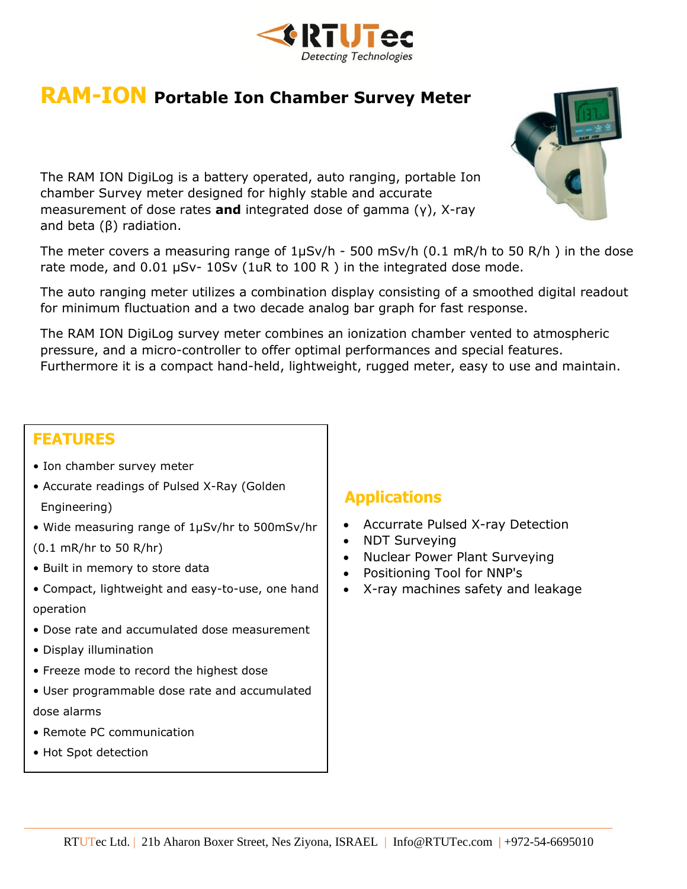

# **RAM-ION Portable Ion Chamber Survey Meter**

The RAM ION DigiLog is a battery operated, auto ranging, portable Ion chamber Survey meter designed for highly stable and accurate measurement of dose rates **and** integrated dose of gamma (γ), X-ray and beta (β) radiation.

The meter covers a measuring range of  $1\mu Sv/h$  - 500 mSv/h (0.1 mR/h to 50 R/h) in the dose rate mode, and 0.01 µSv- 10Sv (1uR to 100 R ) in the integrated dose mode.

The auto ranging meter utilizes a combination display consisting of a smoothed digital readout for minimum fluctuation and a two decade analog bar graph for fast response.

The RAM ION DigiLog survey meter combines an ionization chamber vented to atmospheric pressure, and a micro-controller to offer optimal performances and special features. Furthermore it is a compact hand-held, lightweight, rugged meter, easy to use and maintain.

#### **FEATURES**

- Ion chamber survey meter
- Accurate readings of Pulsed X-Ray (Golden Engineering)
- Wide measuring range of 1µSv/hr to 500mSv/hr

(0.1 mR/hr to 50 R/hr)

- Built in memory to store data
- Compact, lightweight and easy-to-use, one hand operation
- Dose rate and accumulated dose measurement
- Display illumination
- Freeze mode to record the highest dose
- User programmable dose rate and accumulated dose alarms
- Remote PC communication
- Hot Spot detection

#### **Applications**

- Accurrate Pulsed X-ray Detection
- NDT Surveying
- Nuclear Power Plant Surveying
- Positioning Tool for NNP's
- X-ray machines safety and leakage